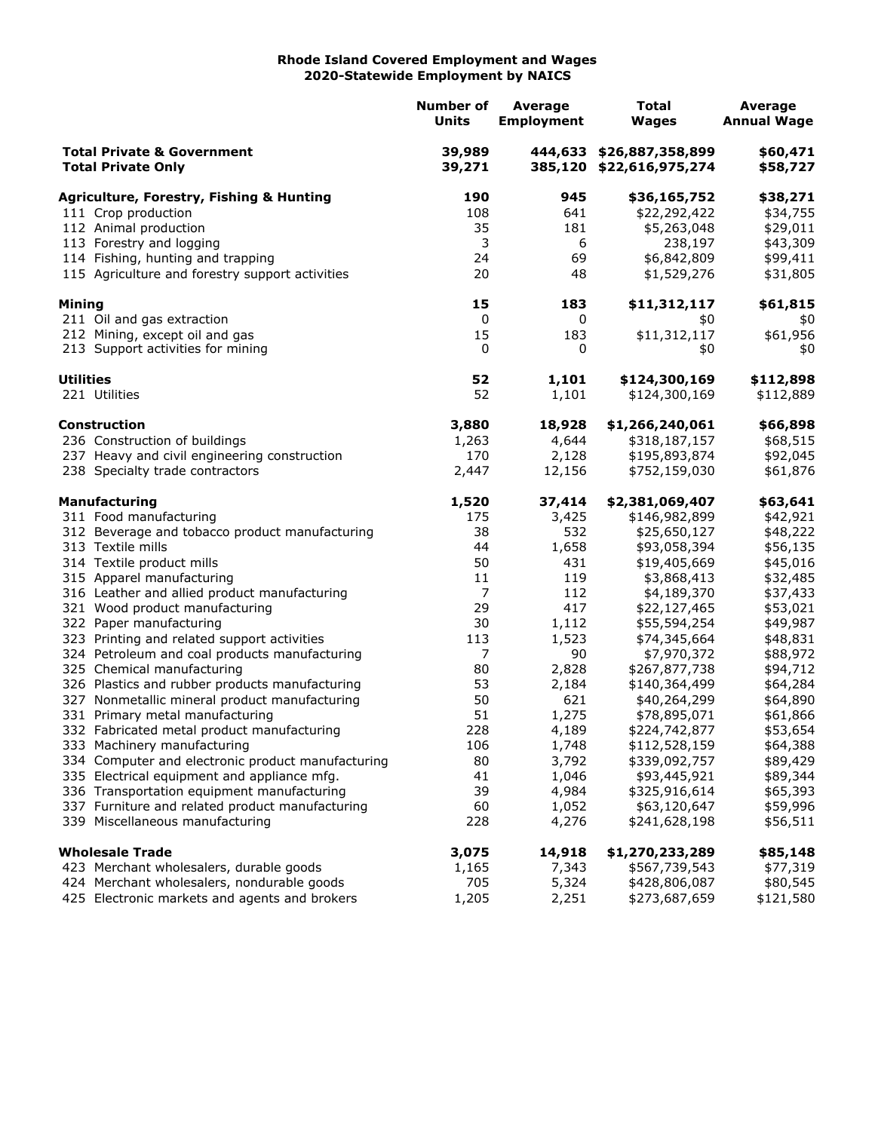## **Rhode Island Covered Employment and Wages 2020-Statewide Employment by NAICS**

|                                                                    |                                                                                           | <b>Number of</b><br><b>Units</b> | Average<br><b>Employment</b> | <b>Total</b><br><b>Wages</b>                         | <b>Average</b><br><b>Annual Wage</b> |
|--------------------------------------------------------------------|-------------------------------------------------------------------------------------------|----------------------------------|------------------------------|------------------------------------------------------|--------------------------------------|
| <b>Total Private &amp; Government</b><br><b>Total Private Only</b> |                                                                                           | 39,989<br>39,271                 |                              | 444,633 \$26,887,358,899<br>385,120 \$22,616,975,274 | \$60,471<br>\$58,727                 |
|                                                                    | <b>Agriculture, Forestry, Fishing &amp; Hunting</b>                                       | 190                              | 945                          | \$36,165,752                                         | \$38,271                             |
|                                                                    | 111 Crop production                                                                       | 108                              | 641                          | \$22,292,422                                         | \$34,755                             |
|                                                                    | 112 Animal production                                                                     | 35                               | 181                          | \$5,263,048                                          | \$29,011                             |
|                                                                    | 113 Forestry and logging                                                                  | 3                                | 6                            | 238,197                                              | \$43,309                             |
|                                                                    | 114 Fishing, hunting and trapping                                                         | 24                               | 69                           | \$6,842,809                                          | \$99,411                             |
|                                                                    | 115 Agriculture and forestry support activities                                           | 20                               | 48                           | \$1,529,276                                          | \$31,805                             |
| Mining                                                             |                                                                                           | 15                               | 183                          | \$11,312,117                                         | \$61,815                             |
|                                                                    | 211 Oil and gas extraction                                                                | 0                                | 0                            | \$0                                                  | \$0                                  |
|                                                                    | 212 Mining, except oil and gas                                                            | 15                               | 183                          | \$11,312,117                                         | \$61,956                             |
|                                                                    | 213 Support activities for mining                                                         | 0                                | 0                            | \$0                                                  | \$0                                  |
| <b>Utilities</b>                                                   |                                                                                           | 52                               | 1,101                        | \$124,300,169                                        | \$112,898                            |
|                                                                    | 221 Utilities                                                                             | 52                               | 1,101                        | \$124,300,169                                        | \$112,889                            |
|                                                                    | <b>Construction</b>                                                                       | 3,880                            | 18,928                       | \$1,266,240,061                                      | \$66,898                             |
|                                                                    | 236 Construction of buildings                                                             | 1,263                            | 4,644                        | \$318,187,157                                        | \$68,515                             |
|                                                                    | 237 Heavy and civil engineering construction                                              | 170                              | 2,128                        | \$195,893,874                                        | \$92,045                             |
|                                                                    | 238 Specialty trade contractors                                                           | 2,447                            | 12,156                       | \$752,159,030                                        | \$61,876                             |
|                                                                    | <b>Manufacturing</b>                                                                      | 1,520                            | 37,414                       | \$2,381,069,407                                      | \$63,641                             |
|                                                                    | 311 Food manufacturing                                                                    | 175                              | 3,425                        | \$146,982,899                                        | \$42,921                             |
|                                                                    | 312 Beverage and tobacco product manufacturing                                            | 38                               | 532                          | \$25,650,127                                         | \$48,222                             |
|                                                                    | 313 Textile mills                                                                         | 44                               | 1,658                        | \$93,058,394                                         | \$56,135                             |
|                                                                    | 314 Textile product mills                                                                 | 50                               | 431                          | \$19,405,669                                         | \$45,016                             |
|                                                                    | 315 Apparel manufacturing                                                                 | 11                               | 119                          | \$3,868,413                                          | \$32,485                             |
|                                                                    | 316 Leather and allied product manufacturing                                              | 7                                | 112                          | \$4,189,370                                          | \$37,433                             |
|                                                                    | 321 Wood product manufacturing                                                            | 29                               | 417                          | \$22,127,465                                         | \$53,021                             |
|                                                                    | 322 Paper manufacturing                                                                   | 30                               | 1,112                        | \$55,594,254                                         | \$49,987                             |
|                                                                    | 323 Printing and related support activities                                               | 113                              | 1,523                        | \$74,345,664                                         | \$48,831                             |
|                                                                    | 324 Petroleum and coal products manufacturing                                             | 7                                | 90                           | \$7,970,372                                          | \$88,972                             |
|                                                                    | 325 Chemical manufacturing                                                                | 80                               | 2,828                        | \$267,877,738                                        | \$94,712                             |
|                                                                    | 326 Plastics and rubber products manufacturing                                            | 53                               | 2,184                        | \$140,364,499                                        | \$64,284                             |
|                                                                    | 327 Nonmetallic mineral product manufacturing                                             | 50                               | 621                          | \$40,264,299                                         | \$64,890                             |
|                                                                    | 331 Primary metal manufacturing                                                           | 51                               | 1,275                        | \$78,895,071                                         | \$61,866                             |
|                                                                    | 332 Fabricated metal product manufacturing                                                | 228                              | 4,189                        | \$224,742,877                                        | \$53,654                             |
|                                                                    | 333 Machinery manufacturing                                                               | 106                              | 1,748                        | \$112,528,159<br>\$339,092,757                       | \$64,388                             |
|                                                                    | 334 Computer and electronic product manufacturing                                         | 80                               | 3,792                        |                                                      | \$89,429                             |
|                                                                    | 335 Electrical equipment and appliance mfg.<br>336 Transportation equipment manufacturing | 41<br>39                         | 1,046                        | \$93,445,921                                         | \$89,344                             |
|                                                                    | 337 Furniture and related product manufacturing                                           | 60                               | 4,984<br>1,052               | \$325,916,614<br>\$63,120,647                        | \$65,393<br>\$59,996                 |
|                                                                    | 339 Miscellaneous manufacturing                                                           | 228                              | 4,276                        | \$241,628,198                                        | \$56,511                             |
|                                                                    | <b>Wholesale Trade</b>                                                                    | 3,075                            | 14,918                       | \$1,270,233,289                                      | \$85,148                             |
|                                                                    | 423 Merchant wholesalers, durable goods                                                   | 1,165                            | 7,343                        | \$567,739,543                                        | \$77,319                             |
|                                                                    | 424 Merchant wholesalers, nondurable goods                                                | 705                              | 5,324                        | \$428,806,087                                        | \$80,545                             |
|                                                                    | 425 Electronic markets and agents and brokers                                             | 1,205                            | 2,251                        | \$273,687,659                                        | \$121,580                            |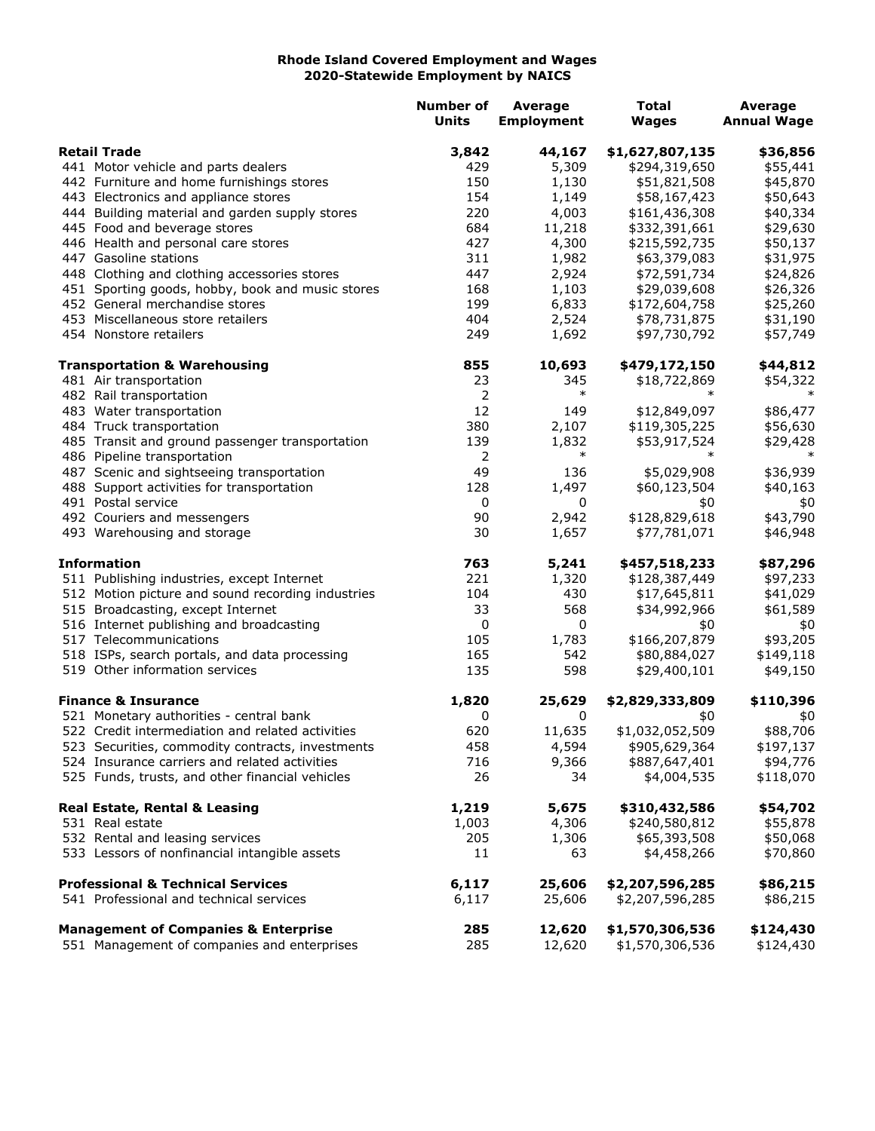## **Rhode Island Covered Employment and Wages 2020-Statewide Employment by NAICS**

|                     |                                                                                                | <b>Number of</b><br><b>Units</b> | <b>Average</b><br><b>Employment</b> | <b>Total</b><br><b>Wages</b>       | Average<br><b>Annual Wage</b> |
|---------------------|------------------------------------------------------------------------------------------------|----------------------------------|-------------------------------------|------------------------------------|-------------------------------|
| <b>Retail Trade</b> |                                                                                                | 3,842                            | 44,167                              | \$1,627,807,135                    | \$36,856                      |
|                     | 441 Motor vehicle and parts dealers                                                            | 429                              | 5,309                               | \$294,319,650                      | \$55,441                      |
|                     | 442 Furniture and home furnishings stores                                                      | 150                              | 1,130                               | \$51,821,508                       | \$45,870                      |
|                     | 443 Electronics and appliance stores                                                           | 154                              | 1,149                               | \$58,167,423                       | \$50,643                      |
|                     | 444 Building material and garden supply stores                                                 | 220                              | 4,003                               | \$161,436,308                      | \$40,334                      |
|                     | 445 Food and beverage stores                                                                   | 684                              | 11,218                              | \$332,391,661                      | \$29,630                      |
|                     | 446 Health and personal care stores                                                            | 427                              | 4,300                               | \$215,592,735                      | \$50,137                      |
|                     | 447 Gasoline stations                                                                          | 311                              | 1,982                               | \$63,379,083                       | \$31,975                      |
|                     | 448 Clothing and clothing accessories stores                                                   | 447                              | 2,924                               | \$72,591,734                       | \$24,826                      |
|                     | 451 Sporting goods, hobby, book and music stores                                               | 168                              | 1,103                               | \$29,039,608                       | \$26,326                      |
|                     | 452 General merchandise stores                                                                 | 199                              | 6,833                               | \$172,604,758                      | \$25,260                      |
|                     | 453 Miscellaneous store retailers                                                              | 404                              | 2,524                               | \$78,731,875                       | \$31,190                      |
|                     | 454 Nonstore retailers                                                                         | 249                              | 1,692                               | \$97,730,792                       | \$57,749                      |
|                     | <b>Transportation &amp; Warehousing</b>                                                        | 855                              | 10,693                              | \$479,172,150                      | \$44,812                      |
|                     | 481 Air transportation                                                                         | 23                               | 345                                 | \$18,722,869                       | \$54,322                      |
|                     | 482 Rail transportation                                                                        | 2                                | $\ast$                              | $\ast$                             | $\ast$                        |
|                     | 483 Water transportation                                                                       | 12                               | 149                                 | \$12,849,097                       | \$86,477                      |
|                     | 484 Truck transportation                                                                       | 380                              | 2,107                               | \$119,305,225                      | \$56,630                      |
|                     | 485 Transit and ground passenger transportation                                                | 139                              | 1,832                               | \$53,917,524                       | \$29,428                      |
|                     | 486 Pipeline transportation                                                                    | 2                                | $\ast$                              |                                    | $\ast$                        |
|                     | 487 Scenic and sightseeing transportation                                                      | 49                               | 136                                 | \$5,029,908                        | \$36,939                      |
|                     | 488 Support activities for transportation                                                      | 128                              | 1,497                               | \$60,123,504                       | \$40,163                      |
|                     | 491 Postal service                                                                             | 0                                | 0                                   | \$0                                | \$0                           |
|                     | 492 Couriers and messengers                                                                    | 90                               | 2,942                               | \$128,829,618                      | \$43,790                      |
|                     | 493 Warehousing and storage                                                                    | 30                               | 1,657                               | \$77,781,071                       | \$46,948                      |
|                     | <b>Information</b>                                                                             | 763                              | 5,241                               | \$457,518,233                      | \$87,296                      |
|                     | 511 Publishing industries, except Internet                                                     | 221                              | 1,320                               | \$128,387,449                      | \$97,233                      |
|                     | 512 Motion picture and sound recording industries                                              | 104                              | 430                                 | \$17,645,811                       | \$41,029                      |
|                     | 515 Broadcasting, except Internet                                                              | 33                               | 568                                 | \$34,992,966                       | \$61,589                      |
|                     | 516 Internet publishing and broadcasting                                                       | 0                                | 0                                   | \$0                                | \$0                           |
|                     | 517 Telecommunications                                                                         | 105                              | 1,783                               | \$166,207,879                      | \$93,205                      |
|                     | 518 ISPs, search portals, and data processing                                                  | 165                              | 542                                 | \$80,884,027                       | \$149,118                     |
|                     | 519 Other information services                                                                 | 135                              | 598                                 | \$29,400,101                       | \$49,150                      |
|                     | <b>Finance &amp; Insurance</b>                                                                 | 1,820                            | 25,629                              | \$2,829,333,809                    | \$110,396                     |
|                     | 521 Monetary authorities - central bank                                                        | 0                                | 0                                   | \$0                                | \$0                           |
|                     | 522 Credit intermediation and related activities                                               | 620                              | 11,635                              | \$1,032,052,509                    | \$88,706                      |
|                     | 523 Securities, commodity contracts, investments                                               | 458                              | 4,594                               | \$905,629,364                      | \$197,137                     |
|                     | 524 Insurance carriers and related activities                                                  | 716                              | 9,366                               | \$887,647,401                      | \$94,776                      |
|                     | 525 Funds, trusts, and other financial vehicles                                                | 26                               | 34                                  | \$4,004,535                        | \$118,070                     |
|                     | <b>Real Estate, Rental &amp; Leasing</b>                                                       | 1,219                            | 5,675                               | \$310,432,586                      | \$54,702                      |
|                     | 531 Real estate                                                                                | 1,003                            | 4,306                               | \$240,580,812                      | \$55,878                      |
|                     | 532 Rental and leasing services                                                                | 205                              | 1,306                               | \$65,393,508                       | \$50,068                      |
|                     | 533 Lessors of nonfinancial intangible assets                                                  | 11                               | 63                                  | \$4,458,266                        | \$70,860                      |
|                     | <b>Professional &amp; Technical Services</b>                                                   | 6,117                            | 25,606                              | \$2,207,596,285                    | \$86,215                      |
|                     | 541 Professional and technical services                                                        | 6,117                            | 25,606                              | \$2,207,596,285                    | \$86,215                      |
|                     | <b>Management of Companies &amp; Enterprise</b><br>551 Management of companies and enterprises | 285<br>285                       | 12,620<br>12,620                    | \$1,570,306,536<br>\$1,570,306,536 | \$124,430<br>\$124,430        |
|                     |                                                                                                |                                  |                                     |                                    |                               |